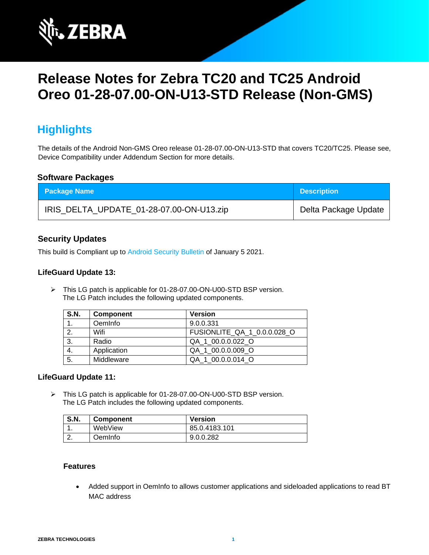

# **Release Notes for Zebra TC20 and TC25 Android Oreo 01-28-07.00-ON-U13-STD Release (Non-GMS)**

# **Highlights**

The details of the Android Non-GMS Oreo release 01-28-07.00-ON-U13-STD that covers TC20/TC25. Please see, Device Compatibility under Addendum Section for more details.

### **Software Packages**

| <b>Package Name</b>                      | <b>Description</b>   |
|------------------------------------------|----------------------|
| IRIS_DELTA_UPDATE_01-28-07.00-ON-U13.zip | Delta Package Update |

# **Security Updates**

This build is Compliant up to [Android Security Bulletin](https://source.android.com/security/bulletin/) of January 5 2021.

### **LifeGuard Update 13:**

➢ This LG patch is applicable for 01-28-07.00-ON-U00-STD BSP version. The LG Patch includes the following updated components.

| <b>S.N.</b> | <b>Component</b> | <b>Version</b>              |
|-------------|------------------|-----------------------------|
|             | OemInfo          | 9.0.0.331                   |
| 2.          | Wifi             | FUSIONLITE_QA_1_0.0.0.028_O |
| 3.          | Radio            | QA 1 00.0.0.022 O           |
| 4.          | Application      | QA 1 00.0.0.009 O           |
| 5.          | Middleware       | QA 1 00.0.0.014 O           |

#### **LifeGuard Update 11:**

➢ This LG patch is applicable for 01-28-07.00-ON-U00-STD BSP version. The LG Patch includes the following updated components.

| <b>S.N.</b> | <b>Component</b> | <b>Version</b> |
|-------------|------------------|----------------|
|             | WebView          | 85.0.4183.101  |
|             | OemInfo.         | 9.0.0.282      |

#### **Features**

• Added support in OemInfo to allows customer applications and sideloaded applications to read BT MAC address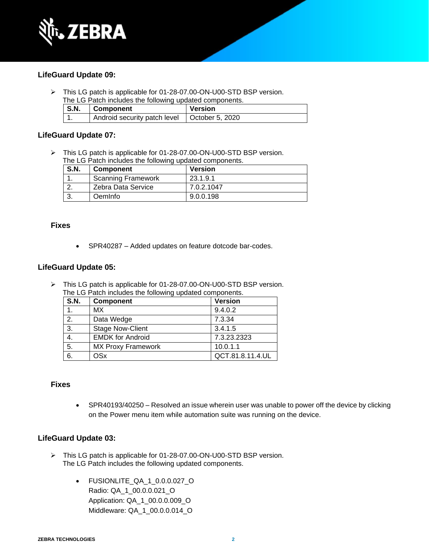

### **LifeGuard Update 09:**

➢ This LG patch is applicable for 01-28-07.00-ON-U00-STD BSP version. The LG Patch includes the following updated components.

| S.N. | <b>Component</b>             | <b>Version</b>  |
|------|------------------------------|-----------------|
|      | Android security patch level | October 5, 2020 |

### **LifeGuard Update 07:**

➢ This LG patch is applicable for 01-28-07.00-ON-U00-STD BSP version. The LG Patch includes the following updated components.

| <b>S.N.</b> | <b>Component</b>          | <b>Version</b> |
|-------------|---------------------------|----------------|
|             | <b>Scanning Framework</b> | 23.1.9.1       |
|             | Zebra Data Service        | 7.0.2.1047     |
|             | Oeminfo                   | 9.0.0.198      |

#### **Fixes**

• SPR40287 – Added updates on feature dotcode bar-codes.

#### **LifeGuard Update 05:**

➢ This LG patch is applicable for 01-28-07.00-ON-U00-STD BSP version. The LG Patch includes the following updated components.

| <b>S.N.</b>      | Component                 | <b>Version</b>   |
|------------------|---------------------------|------------------|
| 1.               | МX                        | 9.4.0.2          |
| $\overline{2}$ . | Data Wedge                | 7.3.34           |
| $\overline{3}$ . | <b>Stage Now-Client</b>   | 3.4.1.5          |
| 4.               | <b>EMDK for Android</b>   | 7.3.23.2323      |
| $\overline{5}$ . | <b>MX Proxy Framework</b> | 10.0.1.1         |
| 6.               | <b>OSx</b>                | QCT.81.8.11.4.UL |

#### **Fixes**

• SPR40193/40250 – Resolved an issue wherein user was unable to power off the device by clicking on the Power menu item while automation suite was running on the device.

#### **LifeGuard Update 03:**

- ➢ This LG patch is applicable for 01-28-07.00-ON-U00-STD BSP version. The LG Patch includes the following updated components.
	- FUSIONLITE\_QA\_1\_0.0.0.027\_O Radio: QA\_1\_00.0.0.021\_O Application: QA\_1\_00.0.0.009\_O Middleware: QA\_1\_00.0.0.014\_O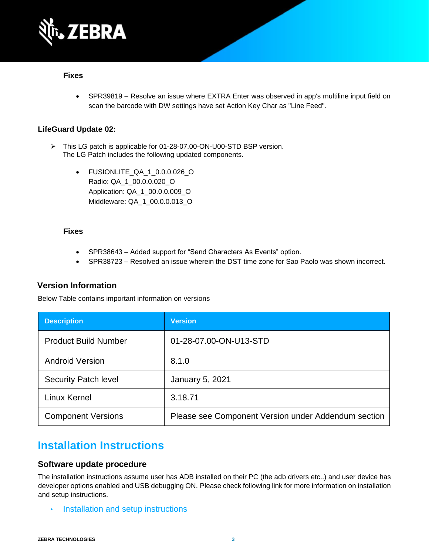

#### **Fixes**

• SPR39819 – Resolve an issue where EXTRA Enter was observed in app's multiline input field on scan the barcode with DW settings have set Action Key Char as "Line Feed".

### **LifeGuard Update 02:**

- ➢ This LG patch is applicable for 01-28-07.00-ON-U00-STD BSP version. The LG Patch includes the following updated components.
	- FUSIONLITE\_QA\_1\_0.0.0.026\_O Radio: QA\_1\_00.0.0.020\_O Application: QA\_1\_00.0.0.009\_O Middleware: QA\_1\_00.0.0.013\_O

#### **Fixes**

- SPR38643 Added support for "Send Characters As Events" option.
- SPR38723 Resolved an issue wherein the DST time zone for Sao Paolo was shown incorrect.

### **Version Information**

Below Table contains important information on versions

| <b>Description</b>          | <b>Version</b>                                      |
|-----------------------------|-----------------------------------------------------|
| <b>Product Build Number</b> | 01-28-07.00-ON-U13-STD                              |
| <b>Android Version</b>      | 8.1.0                                               |
| <b>Security Patch level</b> | <b>January 5, 2021</b>                              |
| Linux Kernel                | 3.18.71                                             |
| <b>Component Versions</b>   | Please see Component Version under Addendum section |

# **Installation Instructions**

#### **Software update procedure**

The installation instructions assume user has ADB installed on their PC (the adb drivers etc..) and user device has developer options enabled and USB debugging ON. Please check following link for more information on installation and setup instructions.

• [Installation and setup instructions](https://www.zebra.com/content/dam/zebra_new_ia/en-us/software/operating-system/tc20-operating-system/Android-O-OS-Update-TC20-and-TC25-NGMS.pdf)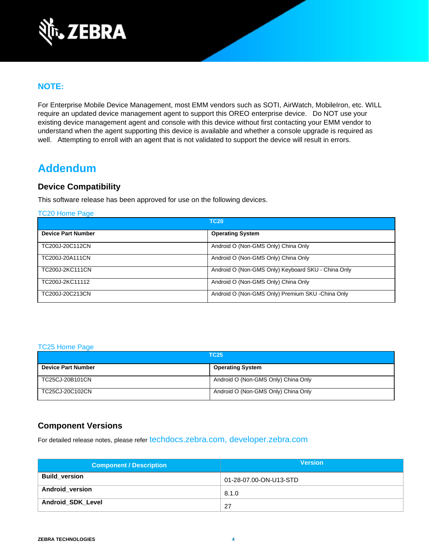

# **NOTE:**

For Enterprise Mobile Device Management, most EMM vendors such as SOTI, AirWatch, MobileIron, etc. WILL require an updated device management agent to support this OREO enterprise device. Do NOT use your existing device management agent and console with this device without first contacting your EMM vendor to understand when the agent supporting this device is available and whether a console upgrade is required as well. Attempting to enroll with an agent that is not validated to support the device will result in errors.

# **Addendum**

## **Device Compatibility**

This software release has been approved for use on the following devices.

[TC20 Home Page](https://www.zebra.com/us/en/support-downloads/software/operating-system/tc20-operating-system-non-gms.html)

|                           | <b>TC20</b>                                        |
|---------------------------|----------------------------------------------------|
| <b>Device Part Number</b> | <b>Operating System</b>                            |
| TC200J-20C112CN           | Android O (Non-GMS Only) China Only                |
| TC200J-20A111CN           | Android O (Non-GMS Only) China Only                |
| TC200J-2KC111CN           | Android O (Non-GMS Only) Keyboard SKU - China Only |
| TC200J-2KC11112           | Android O (Non-GMS Only) China Only                |
| TC200J-20C213CN           | Android O (Non-GMS Only) Premium SKU - China Only  |

#### [TC25 Home Page](https://www.zebra.com/us/en/support-downloads/software/operating-system/tc25-operating-system-non-gms.html)

| <b>TC25</b>               |                                     |
|---------------------------|-------------------------------------|
| <b>Device Part Number</b> | <b>Operating System</b>             |
| TC25CJ-20B101CN           | Android O (Non-GMS Only) China Only |
| TC25CJ-20C102CN           | Android O (Non-GMS Only) China Only |

# **Component Versions**

For detailed release notes, please refer [techdocs.zebra.com,](https://techdocs.zebra.com/) [developer.zebra.com](https://developer.zebra.com/)

| <b>Component / Description</b> | <b>Version</b>         |
|--------------------------------|------------------------|
| <b>Build version</b>           | 01-28-07.00-ON-U13-STD |
| <b>Android_version</b>         | 8.1.0                  |
| Android_SDK_Level              | -27                    |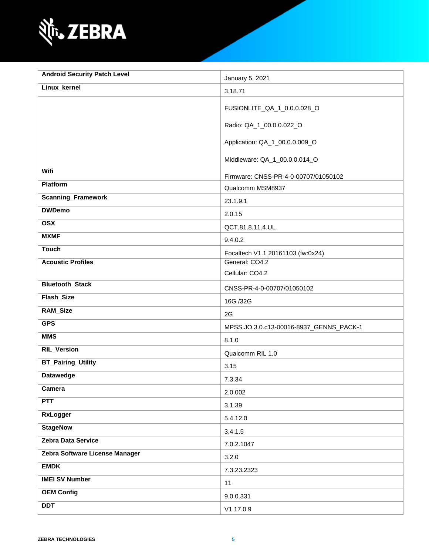

| <b>Android Security Patch Level</b> | January 5, 2021                         |
|-------------------------------------|-----------------------------------------|
| Linux_kernel                        | 3.18.71                                 |
|                                     | FUSIONLITE_QA_1_0.0.0.028_O             |
|                                     | Radio: QA_1_00.0.0.022_O                |
|                                     | Application: QA_1_00.0.0.009_O          |
|                                     | Middleware: QA_1_00.0.0.014_O           |
| Wifi                                | Firmware: CNSS-PR-4-0-00707/01050102    |
| Platform                            | Qualcomm MSM8937                        |
| <b>Scanning_Framework</b>           | 23.1.9.1                                |
| <b>DWDemo</b>                       | 2.0.15                                  |
| <b>OSX</b>                          | QCT.81.8.11.4.UL                        |
| <b>MXMF</b>                         | 9.4.0.2                                 |
| <b>Touch</b>                        | Focaltech V1.1 20161103 (fw:0x24)       |
| <b>Acoustic Profiles</b>            | General: CO4.2                          |
|                                     | Cellular: CO4.2                         |
| <b>Bluetooth_Stack</b>              | CNSS-PR-4-0-00707/01050102              |
| Flash_Size                          | 16G /32G                                |
| <b>RAM_Size</b>                     | 2G                                      |
| <b>GPS</b>                          | MPSS.JO.3.0.c13-00016-8937_GENNS_PACK-1 |
| <b>MMS</b>                          | 8.1.0                                   |
| <b>RIL_Version</b>                  | Qualcomm RIL 1.0                        |
| <b>BT_Pairing_Utility</b>           | 3.15                                    |
| <b>Datawedge</b>                    | 7.3.34                                  |
| Camera                              | 2.0.002                                 |
| <b>PTT</b>                          | 3.1.39                                  |
| <b>RxLogger</b>                     | 5.4.12.0                                |
| <b>StageNow</b>                     | 3.4.1.5                                 |
| Zebra Data Service                  | 7.0.2.1047                              |
| Zebra Software License Manager      | 3.2.0                                   |
| <b>EMDK</b>                         | 7.3.23.2323                             |
| <b>IMEI SV Number</b>               | 11                                      |
| <b>OEM Config</b>                   | 9.0.0.331                               |
| <b>DDT</b>                          | V1.17.0.9                               |